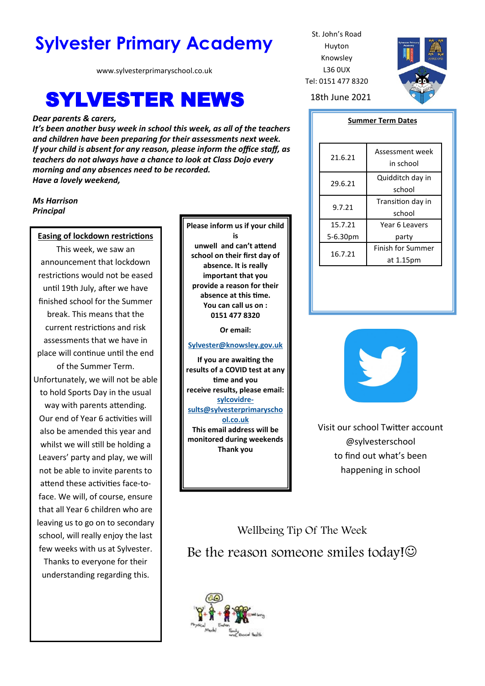# **Sylvester Primary Academy** St. John's Road

www.sylvesterprimaryschool.co.uk

# **SYLVESTER NEWS** 18th June 2021

#### *Dear parents & carers,*

*It's been another busy week in school this week, as all of the teachers and children have been preparing for their assessments next week. If your child is absent for any reason, please inform the office staff, as teachers do not always have a chance to look at Class Dojo every morning and any absences need to be recorded. Have a lovely weekend,*

#### *Ms Harrison Principal*

#### **Easing of lockdown restrictions**

This week, we saw an announcement that lockdown restrictions would not be eased until 19th July, after we have finished school for the Summer break. This means that the current restrictions and risk assessments that we have in place will continue until the end of the Summer Term. Unfortunately, we will not be able to hold Sports Day in the usual way with parents attending. Our end of Year 6 activities will also be amended this year and whilst we will still be holding a Leavers' party and play, we will not be able to invite parents to attend these activities face-toface. We will, of course, ensure that all Year 6 children who are leaving us to go on to secondary school, will really enjoy the last few weeks with us at Sylvester.

Thanks to everyone for their understanding regarding this. **Please inform us if your child is unwell and can't attend school on their first day of absence. It is really important that you provide a reason for their absence at this time. You can call us on : 0151 477 8320**

**Or email:** 

#### **[Sylvester@knowsley.gov.uk](mailto:sylvesterprimaryschool.gov.uk)**

**If you are awaiting the results of a COVID test at any time and you receive results, please email: [sylcovidre](mailto:sylcovidresults@sylvesterprimaryschool.co.uk)[sults@sylvesterprimaryscho](mailto:sylcovidresults@sylvesterprimaryschool.co.uk) [ol.co.uk](mailto:sylcovidresults@sylvesterprimaryschool.co.uk) This email address will be monitored during weekends Thank you**

Huyton Knowsley L36 0UX Tel: 0151 477 8320



#### **Summer Term Dates**

| 21.6.21  | Assessment week<br>in school   |
|----------|--------------------------------|
| 29.6.21  | Quidditch day in<br>school     |
| 9.7.21   | Transition day in<br>school    |
| 15.7.21  | Year 6 Leavers                 |
| 5-6.30pm | party                          |
| 16.7.21  | Finish for Summer<br>at 1.15pm |



Visit our school Twitter account @sylvesterschool to find out what's been happening in school

Wellbeing Tip Of The Week Be the reason someone smiles today! $\odot$